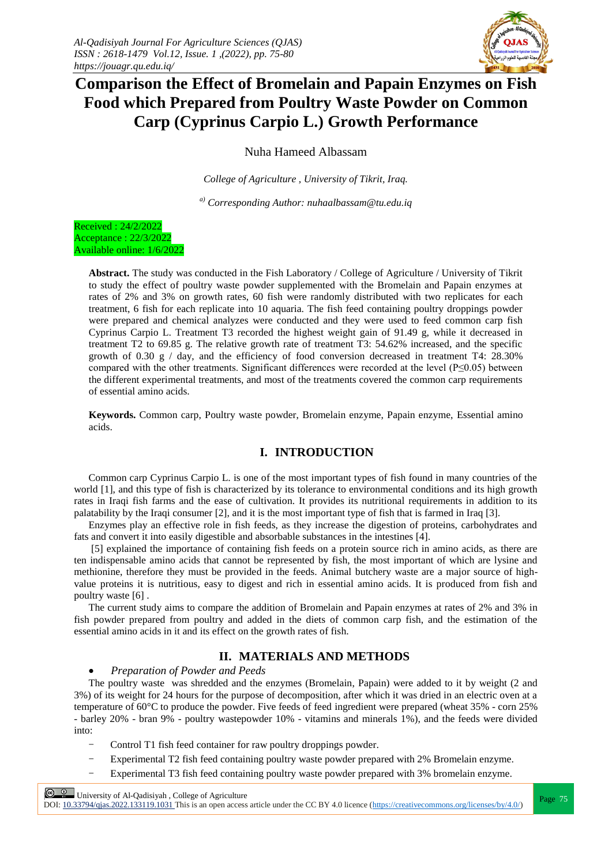

# **Comparison the Effect of Bromelain and Papain Enzymes on Fish Food which Prepared from Poultry Waste Powder on Common Carp (Cyprinus Carpio L.) Growth Performance**

Nuha Hameed Albassam

*College of Agriculture , University of Tikrit, Iraq.*

*a) Corresponding Author: nuhaalbassam@tu.edu.iq*

Received : 24/2/2022 Acceptance : 22/3/2022 Available online: 1/6/2022

> **Abstract.** The study was conducted in the Fish Laboratory / College of Agriculture / University of Tikrit to study the effect of poultry waste powder supplemented with the Bromelain and Papain enzymes at rates of 2% and 3% on growth rates, 60 fish were randomly distributed with two replicates for each treatment, 6 fish for each replicate into 10 aquaria. The fish feed containing poultry droppings powder were prepared and chemical analyzes were conducted and they were used to feed common carp fish Cyprinus Carpio L. Treatment T3 recorded the highest weight gain of 91.49 g, while it decreased in treatment T2 to 69.85 g. The relative growth rate of treatment T3: 54.62% increased, and the specific growth of 0.30 g / day, and the efficiency of food conversion decreased in treatment T4:  $28.30\%$ compared with the other treatments. Significant differences were recorded at the level (P≤0.05) between the different experimental treatments, and most of the treatments covered the common carp requirements of essential amino acids.

> **Keywords.** Common carp, Poultry waste powder, Bromelain enzyme, Papain enzyme, Essential amino acids.

# **I. INTRODUCTION**

Common carp Cyprinus Carpio L. is one of the most important types of fish found in many countries of the world [1], and this type of fish is characterized by its tolerance to environmental conditions and its high growth rates in Iraqi fish farms and the ease of cultivation. It provides its nutritional requirements in addition to its palatability by the Iraqi consumer [2], and it is the most important type of fish that is farmed in Iraq [3].

Enzymes play an effective role in fish feeds, as they increase the digestion of proteins, carbohydrates and fats and convert it into easily digestible and absorbable substances in the intestines [4].

[5] explained the importance of containing fish feeds on a protein source rich in amino acids, as there are ten indispensable amino acids that cannot be represented by fish, the most important of which are lysine and methionine, therefore they must be provided in the feeds. Animal butchery waste are a major source of highvalue proteins it is nutritious, easy to digest and rich in essential amino acids. It is produced from fish and poultry waste [6] .

The current study aims to compare the addition of Bromelain and Papain enzymes at rates of 2% and 3% in fish powder prepared from poultry and added in the diets of common carp fish, and the estimation of the essential amino acids in it and its effect on the growth rates of fish.

# **II. MATERIALS AND METHODS**

#### *Preparation of Powder and Peeds*

The poultry waste was shredded and the enzymes (Bromelain, Papain) were added to it by weight (2 and 3%) of its weight for 24 hours for the purpose of decomposition, after which it was dried in an electric oven at a temperature of 60°C to produce the powder. Five feeds of feed ingredient were prepared (wheat 35% - corn 25% - barley 20% - bran 9% - poultry wastepowder 10% - vitamins and minerals 1%), and the feeds were divided into:

- Control T1 fish feed container for raw poultry droppings powder.
- Experimental T2 fish feed containing poultry waste powder prepared with 2% Bromelain enzyme.
- Experimental T3 fish feed containing poultry waste powder prepared with 3% bromelain enzyme.

**Page 75**<br>
Page 75 | University of Al-Qadisiyah , College of Agriculture<br>
Page 75 DOI: 10.33794/qjas.2022.133119.1031 This is an open access article under the CC BY 4.0 licence (https://creativecommons.org/licenses/by/4.0/)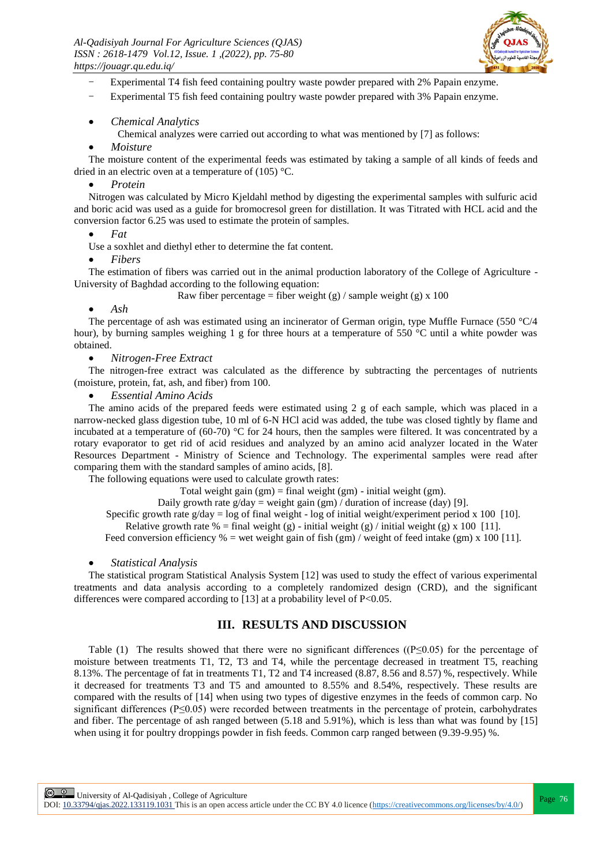

- Experimental T4 fish feed containing poultry waste powder prepared with 2% Papain enzyme.
- Experimental T5 fish feed containing poultry waste powder prepared with 3% Papain enzyme.
- *Chemical Analytics*

Chemical analyzes were carried out according to what was mentioned by [7] as follows:

#### *Moisture*

The moisture content of the experimental feeds was estimated by taking a sample of all kinds of feeds and dried in an electric oven at a temperature of (105) °C.

### *Protein*

Nitrogen was calculated by Micro Kjeldahl method by digesting the experimental samples with sulfuric acid and boric acid was used as a guide for bromocresol green for distillation. It was Titrated with HCL acid and the conversion factor 6.25 was used to estimate the protein of samples.

#### *Fat*

Use a soxhlet and diethyl ether to determine the fat content.

### *Fibers*

The estimation of fibers was carried out in the animal production laboratory of the College of Agriculture - University of Baghdad according to the following equation:

Raw fiber percentage = fiber weight (g) / sample weight (g)  $x$  100

## *Ash*

The percentage of ash was estimated using an incinerator of German origin, type Muffle Furnace (550 °C/4) hour), by burning samples weighing 1 g for three hours at a temperature of 550 °C until a white powder was obtained.

# *Nitrogen-Free Extract*

The nitrogen-free extract was calculated as the difference by subtracting the percentages of nutrients (moisture, protein, fat, ash, and fiber) from 100.

#### *Essential Amino Acids*

The amino acids of the prepared feeds were estimated using 2 g of each sample, which was placed in a narrow-necked glass digestion tube, 10 ml of 6-N HCl acid was added, the tube was closed tightly by flame and incubated at a temperature of (60-70) °C for 24 hours, then the samples were filtered. It was concentrated by a rotary evaporator to get rid of acid residues and analyzed by an amino acid analyzer located in the Water Resources Department - Ministry of Science and Technology. The experimental samples were read after comparing them with the standard samples of amino acids, [8].

The following equations were used to calculate growth rates:

Total weight gain  $(gm)$  = final weight  $(gm)$  - initial weight  $(gm)$ .

Daily growth rate  $g/day = weight gain (gm) / duration of increase (day) [9]$ .

Specific growth rate  $g/day = log of final weight - log of initial weight/experiment period x 100 [10]$ .

Relative growth rate % = final weight (g) - initial weight (g) / initial weight (g) x 100 [11].

Feed conversion efficiency  $% =$  wet weight gain of fish (gm) / weight of feed intake (gm) x 100 [11].

## *Statistical Analysis*

The statistical program Statistical Analysis System [12] was used to study the effect of various experimental treatments and data analysis according to a completely randomized design (CRD), and the significant differences were compared according to [13] at a probability level of P<0.05.

# **III. RESULTS AND DISCUSSION**

Table (1) The results showed that there were no significant differences ( $(P \le 0.05)$  for the percentage of moisture between treatments T1, T2, T3 and T4, while the percentage decreased in treatment T5, reaching 8.13%. The percentage of fat in treatments T1, T2 and T4 increased (8.87, 8.56 and 8.57) %, respectively. While it decreased for treatments T3 and T5 and amounted to 8.55% and 8.54%, respectively. These results are compared with the results of [14] when using two types of digestive enzymes in the feeds of common carp. No significant differences (P≤0.05) were recorded between treatments in the percentage of protein, carbohydrates and fiber. The percentage of ash ranged between (5.18 and 5.91%), which is less than what was found by [15] when using it for poultry droppings powder in fish feeds. Common carp ranged between (9.39-9.95) %.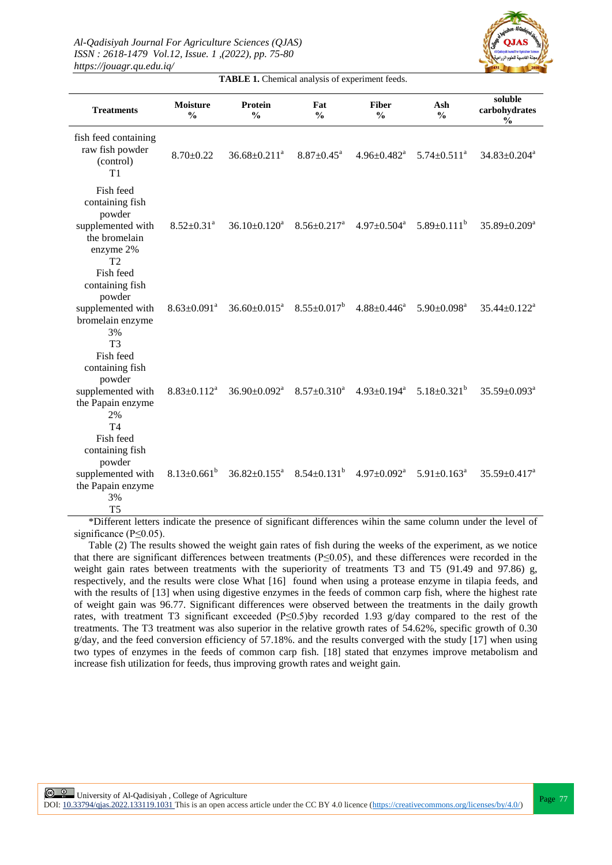

**TABLE 1.** Chemical analysis of experiment feeds.

| <b>Treatments</b>                                                                                           | <b>Moisture</b><br>$\frac{0}{0}$ | Protein<br>$\frac{0}{0}$                                 | Fat<br>$\frac{0}{0}$          | <b>Fiber</b><br>$\frac{0}{0}$ | Ash<br>$\frac{0}{0}$              | soluble<br>carbohydrates<br>$\frac{0}{0}$ |
|-------------------------------------------------------------------------------------------------------------|----------------------------------|----------------------------------------------------------|-------------------------------|-------------------------------|-----------------------------------|-------------------------------------------|
| fish feed containing<br>raw fish powder<br>(control)<br>T1                                                  | $8.70 \pm 0.22$                  | $36.68 \pm 0.211$ <sup>a</sup>                           | $8.87 \pm 0.45^{\text{a}}$    | $4.96 \pm 0.482$ <sup>a</sup> | $5.74 \pm 0.511^a$                | $34.83 \pm 0.204$ <sup>a</sup>            |
| Fish feed<br>containing fish<br>powder<br>supplemented with<br>the bromelain<br>enzyme 2%<br>T <sub>2</sub> | $8.52 \pm 0.31$ <sup>a</sup>     | $36.10 \pm 0.120^a$                                      | $8.56 \pm 0.217$ <sup>a</sup> |                               | $4.97\pm0.504^a$ $5.89\pm0.111^b$ | $35.89 \pm 0.209^a$                       |
| Fish feed<br>containing fish<br>powder<br>supplemented with<br>bromelain enzyme<br>3%<br>T <sub>3</sub>     | $8.63 \pm 0.091^a$               | $36.60 \pm 0.015^{\text{a}}$                             | $8.55 \pm 0.017^b$            | $4.88{\pm}0.446^a$            | $5.90 \pm 0.098$ <sup>a</sup>     | $35.44 \pm 0.122$ <sup>a</sup>            |
| Fish feed<br>containing fish<br>powder<br>supplemented with<br>the Papain enzyme<br>2%<br>T <sub>4</sub>    | $8.83 \pm 0.112^a$               | $36.90 \pm 0.092$ <sup>a</sup>                           | $8.57 \pm 0.310^a$            | $4.93 \pm 0.194$ <sup>a</sup> | $5.18 \pm 0.321^b$                | $35.59 \pm 0.093^a$                       |
| Fish feed<br>containing fish<br>powder<br>supplemented with<br>the Papain enzyme<br>3%<br>T <sub>5</sub>    | $8.13 \pm 0.661^{\mathrm{b}}$    | $36.82 \pm 0.155^{\text{a}}$ $8.54 \pm 0.131^{\text{b}}$ |                               | $4.97 \pm 0.092$ <sup>a</sup> | $5.91 \pm 0.163$ <sup>a</sup>     | $35.59 \pm 0.417^a$                       |

\*Different letters indicate the presence of significant differences wihin the same column under the level of significance (P≤0.05).

Table (2) The results showed the weight gain rates of fish during the weeks of the experiment, as we notice that there are significant differences between treatments (P≤0.05), and these differences were recorded in the weight gain rates between treatments with the superiority of treatments T3 and T5 (91.49 and 97.86) g, respectively, and the results were close What [16] found when using a protease enzyme in tilapia feeds, and with the results of [13] when using digestive enzymes in the feeds of common carp fish, where the highest rate of weight gain was 96.77. Significant differences were observed between the treatments in the daily growth rates, with treatment T3 significant exceeded (P≤0.5)by recorded 1.93 g/day compared to the rest of the treatments. The T3 treatment was also superior in the relative growth rates of 54.62%, specific growth of 0.30  $g/dav$ , and the feed conversion efficiency of 57.18%, and the results converged with the study [17] when using two types of enzymes in the feeds of common carp fish. [18] stated that enzymes improve metabolism and increase fish utilization for feeds, thus improving growth rates and weight gain.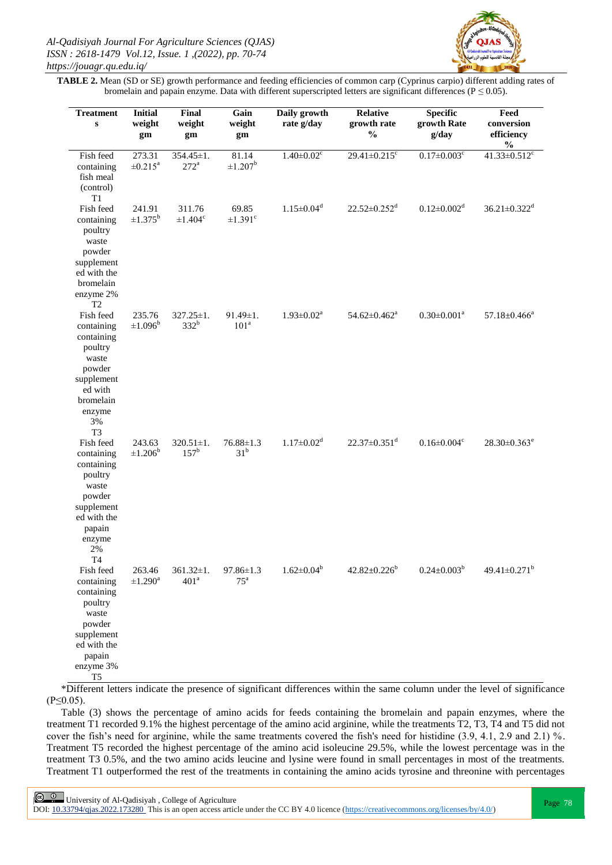

**TABLE 2.** Mean (SD or SE) growth performance and feeding efficiencies of common carp (Cyprinus carpio) different adding rates of bromelain and papain enzyme. Data with different superscripted letters are significant differences ( $P \le 0.05$ ).

| <b>Treatment</b><br>$\mathbf{s}$                                                                                                             | <b>Initial</b><br>weight<br>gm     | Final<br>weight<br>gm               | Gain<br>weight<br>gm               | Daily growth<br>rate g/day   | <b>Relative</b><br>growth rate<br>$\frac{0}{0}$ | <b>Specific</b><br>growth Rate<br>g/day | Feed<br>conversion<br>efficiency<br>$\frac{0}{0}$ |
|----------------------------------------------------------------------------------------------------------------------------------------------|------------------------------------|-------------------------------------|------------------------------------|------------------------------|-------------------------------------------------|-----------------------------------------|---------------------------------------------------|
| Fish feed<br>containing<br>fish meal<br>(control)<br>T <sub>1</sub>                                                                          | 273.31<br>$\pm 0.215^{\rm a}$      | $354.45 \pm 1.$<br>$272^a$          | 81.14<br>$\pm 1.207^{\rm b}$       | $1.40 \pm 0.02$ <sup>c</sup> | 29.41 $\pm$ 0.215 $\rm{^c}$                     | $0.17 \pm 0.003$ <sup>c</sup>           | 41.33 $\pm$ 0.512 $\rm{^c}$                       |
| Fish feed<br>containing<br>poultry<br>waste<br>powder<br>supplement<br>ed with the<br>bromelain<br>enzyme 2%<br>T2                           | 241.91<br>$\pm 1.375^{b}$          | 311.76<br>$\pm 1.404$ <sup>c</sup>  | 69.85<br>$\pm$ 1.391 $\degree$     | $1.15 \pm 0.04$ <sup>d</sup> | $22.52 \pm 0.252$ <sup>d</sup>                  | $0.12 \pm 0.002$ <sup>d</sup>           | $36.21 \pm 0.322$ <sup>d</sup>                    |
| Fish feed<br>containing<br>containing<br>poultry<br>waste<br>powder<br>supplement<br>ed with<br>bromelain<br>enzyme<br>3%<br>T <sub>3</sub>  | 235.76<br>$\pm 1.096^{\rm b}$      | $327.25 \pm 1.$<br>$332^b$          | $91.49 \pm 1.$<br>101 <sup>a</sup> | $1.93 \pm 0.02^a$            | $54.62 \pm 0.462^a$                             | $0.30 \pm 0.001^a$                      | $57.18 \pm 0.466^a$                               |
| Fish feed<br>containing<br>containing<br>poultry<br>waste<br>powder<br>supplement<br>ed with the<br>papain<br>enzyme<br>2%<br>T <sub>4</sub> | 243.63<br>$\pm 1.206^{\rm b}$      | $320.51 \pm 1.$<br>$157^{\rm b}$    | $76.88 \pm 1.3$<br>31 <sup>b</sup> | $1.17 \pm 0.02$ <sup>d</sup> | $22.37 \pm 0.351$ <sup>d</sup>                  | $0.16 \pm 0.004$ <sup>c</sup>           | $28.30\pm0.363^e$                                 |
| Fish feed<br>containing<br>containing<br>poultry<br>waste<br>powder<br>supplement<br>ed with the<br>papain<br>enzyme 3%<br><b>T5</b>         | 263.46<br>$\pm 1.290$ <sup>a</sup> | $361.32 \pm 1.$<br>401 <sup>a</sup> | 97.86±1.3<br>$75^{\mathrm{a}}$     | $1.62 \pm 0.04^b$            | $42.82 \pm 0.226^b$                             | $0.24 \pm 0.003^b$                      | $49.41 \pm 0.271^b$                               |

\*Different letters indicate the presence of significant differences within the same column under the level of significance  $(P \le 0.05)$ .

Table (3) shows the percentage of amino acids for feeds containing the bromelain and papain enzymes, where the treatment T1 recorded 9.1% the highest percentage of the amino acid arginine, while the treatments T2, T3, T4 and T5 did not cover the fish's need for arginine, while the same treatments covered the fish's need for histidine (3.9, 4.1, 2.9 and 2.1) %. Treatment T5 recorded the highest percentage of the amino acid isoleucine 29.5%, while the lowest percentage was in the treatment T3 0.5%, and the two amino acids leucine and lysine were found in small percentages in most of the treatments. Treatment T1 outperformed the rest of the treatments in containing the amino acids tyrosine and threonine with percentages

**Page 78**<br>Page 78 | University of Al-Qadisiyah , College of Agriculture<br>Page 78 | Page 78 | Page 78 | Page 78 | Page 78 | Page 78 | Page 78 | Page 78 | Page 78 | Page 78 | Page 78 | Page 78 | Page 78 | Page 78 | Page 78 |

DOI:  $10.33794/q$ jas.2022.173280 This is an open access article under the CC BY 4.0 licence (https://creativecommons.org/licenses/by/4.0/)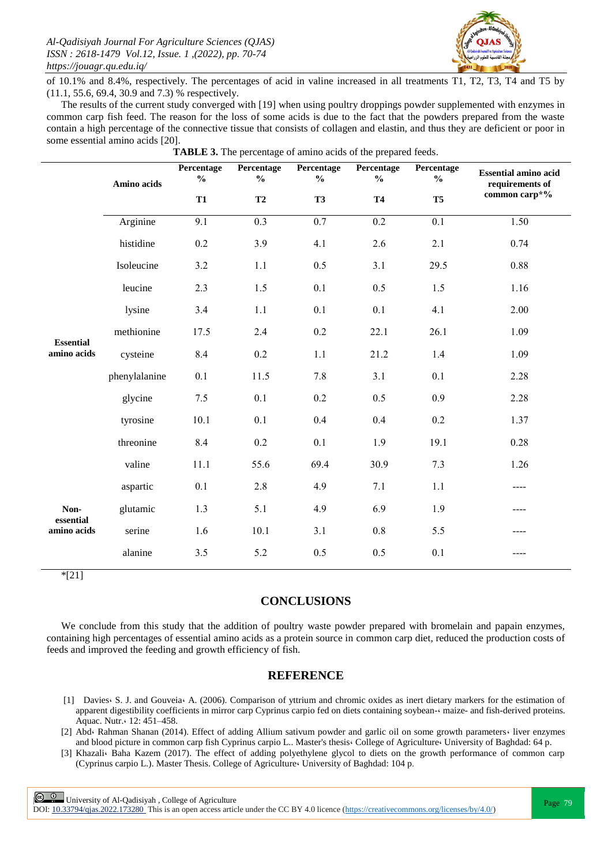

of 10.1% and 8.4%, respectively. The percentages of acid in valine increased in all treatments T1, T2, T3, T4 and T5 by (11.1, 55.6, 69.4, 30.9 and 7.3) % respectively.

The results of the current study converged with [19] when using poultry droppings powder supplemented with enzymes in common carp fish feed. The reason for the loss of some acids is due to the fact that the powders prepared from the waste contain a high percentage of the connective tissue that consists of collagen and elastin, and thus they are deficient or poor in some essential amino acids [20].

|                                                                     | Amino acids   | Percentage<br>$\frac{0}{0}$ | Percentage<br>$\frac{0}{0}$ | Percentage<br>$\frac{0}{0}$ | Percentage<br>$\frac{0}{0}$ | Percentage<br>$\frac{6}{10}$ | <b>Essential amino acid</b><br>requirements of |  |
|---------------------------------------------------------------------|---------------|-----------------------------|-----------------------------|-----------------------------|-----------------------------|------------------------------|------------------------------------------------|--|
|                                                                     |               | T1                          | T2                          | <b>T3</b>                   | <b>T4</b>                   | T <sub>5</sub>               | common carp*%                                  |  |
| <b>Essential</b><br>amino acids<br>Non-<br>essential<br>amino acids | Arginine      | $\overline{9.1}$            | $\overline{0.3}$            | 0.7                         | $\overline{0.2}$            | $\overline{0.1}$             | 1.50                                           |  |
|                                                                     | histidine     | 0.2                         | 3.9                         | 4.1                         | 2.6                         | 2.1                          | 0.74                                           |  |
|                                                                     | Isoleucine    | 3.2                         | 1.1                         | 0.5                         | 3.1                         | 29.5                         | 0.88                                           |  |
|                                                                     | leucine       | 2.3                         | 1.5                         | 0.1                         | 0.5                         | 1.5                          | 1.16                                           |  |
|                                                                     | lysine        | 3.4                         | 1.1                         | 0.1                         | 0.1                         | 4.1                          | 2.00                                           |  |
|                                                                     | methionine    | 17.5                        | 2.4                         | 0.2                         | 22.1                        | 26.1                         | 1.09                                           |  |
|                                                                     | cysteine      | 8.4                         | 0.2                         | 1.1                         | 21.2                        | 1.4                          | 1.09                                           |  |
|                                                                     | phenylalanine | 0.1                         | 11.5                        | 7.8                         | 3.1                         | 0.1                          | 2.28                                           |  |
|                                                                     | glycine       | 7.5                         | 0.1                         | 0.2                         | 0.5                         | 0.9                          | 2.28                                           |  |
|                                                                     | tyrosine      | 10.1                        | 0.1                         | 0.4                         | 0.4                         | 0.2                          | 1.37                                           |  |
|                                                                     | threonine     | 8.4                         | 0.2                         | 0.1                         | 1.9                         | 19.1                         | 0.28                                           |  |
|                                                                     | valine        | 11.1                        | 55.6                        | 69.4                        | 30.9                        | 7.3                          | 1.26                                           |  |
|                                                                     | aspartic      | 0.1                         | 2.8                         | 4.9                         | 7.1                         | 1.1                          | ----                                           |  |
|                                                                     | glutamic      | 1.3                         | 5.1                         | 4.9                         | 6.9                         | 1.9                          | ----                                           |  |
|                                                                     | serine        | 1.6                         | 10.1                        | 3.1                         | 0.8                         | 5.5                          | ----                                           |  |
|                                                                     | alanine       | 3.5                         | 5.2                         | 0.5                         | 0.5                         | 0.1                          |                                                |  |

**TABLE 3.** The percentage of amino acids of the prepared feeds.

\*[21]

# **CONCLUSIONS**

We conclude from this study that the addition of poultry waste powder prepared with bromelain and papain enzymes, containing high percentages of essential amino acids as a protein source in common carp diet, reduced the production costs of feeds and improved the feeding and growth efficiency of fish.

## **REFERENCE**

- [1] Davies، S. J. and Gouveia، A. (2006). Comparison of yttrium and chromic oxides as inert dietary markers for the estimation of apparent digestibility coefficients in mirror carp Cyprinus carpio fed on diets containing soybean-، maize- and fish-derived proteins. Aquac. Nutr.، 12: 451–458.
- [2] Abd، Rahman Shanan (2014). Effect of adding Allium sativum powder and garlic oil on some growth parameters، liver enzymes and blood picture in common carp fish Cyprinus carpio L.. Master's thesis، College of Agriculture، University of Baghdad: 64 p.
- [3] Khazali، Baha Kazem (2017). The effect of adding polyethylene glycol to diets on the growth performance of common carp (Cyprinus carpio L.). Master Thesis. College of Agriculture، University of Baghdad: 104 p.

**Page 79**<br>Page 79 | University of Al-Qadisiyah, College of Agriculture<br>
Page 79

DOI:  $10.33794/q$ jas.2022.173280 This is an open access article under the CC BY 4.0 licence (https://creativecommons.org/licenses/by/4.0/)